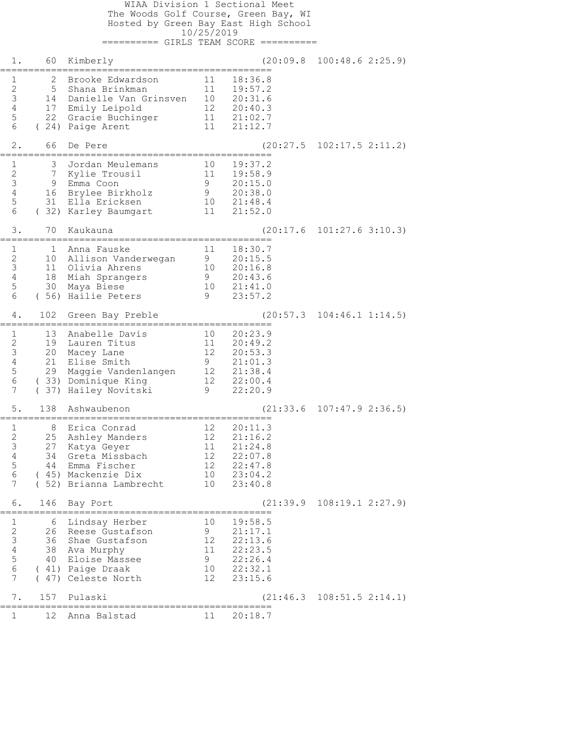WIAA Division 1 Sectional Meet The Woods Golf Course, Green Bay, WI Hosted by Green Bay East High School 10/25/2019 ========== GIRLS TEAM SCORE ========== 1. 60 Kimberly (20:09.8 100:48.6 2:25.9) ================================================ 1 2 Brooke Edwardson 11 18:36.8 2 5 Shana Brinkman 11 19:57.2 3 14 Danielle Van Grinsven 10 20:31.6 4 17 Emily Leipold 12 20:40.3 5 22 Gracie Buchinger 11 21:02.7 6 ( 24) Paige Arent 11 21:12.7 2. 66 De Pere (20:27.5 102:17.5 2:11.2) ================================================ 1 3 Jordan Meulemans 10 19:37.2 2 7 Kylie Trousil 11 19:58.9 3 9 Emma Coon 9 20:15.0 4 16 Brylee Birkholz 9 20:38.0 5 31 Ella Ericksen 10 21:48.4 6 ( 32) Karley Baumgart 11 21:52.0 3. 70 Kaukauna (20:17.6 101:27.6 3:10.3) ================================================ 1 1 Anna Fauske 11 18:30.7 2 10 Allison Vanderwegan 9 20:15.5 3 11 Olivia Ahrens 10 20:16.8 4 18 Miah Sprangers 9 20:43.6 5 30 Maya Biese 10 21:41.0 6 ( 56) Hailie Peters 9 23:57.2 4. 102 Green Bay Preble (20:57.3 104:46.1 1:14.5) ================================================ 1 13 Anabelle Davis 10 20:23.9 2 19 Lauren Titus 11 20:49.2 3 20 Macey Lane 12 20:53.3 4 21 Elise Smith 9 21:01.3 5 29 Maggie Vandenlangen 12 21:38.4 6 ( 33) Dominique King 12 22:00.4 7 ( 37) Hailey Novitski 9 22:20.9 5. 138 Ashwaubenon (21:33.6 107:47.9 2:36.5) ================================================ 1 8 Erica Conrad 12 20:11.3 2 25 Ashley Manders 12 21:16.2 3 27 Katya Geyer 11 21:24.8 4 34 Greta Missbach 12 22:07.8 5 44 Emma Fischer 12 22:47.8 6 ( 45) Mackenzie Dix 10 23:04.2 7 ( 52) Brianna Lambrecht 10 23:40.8 6. 146 Bay Port (21:39.9 108:19.1 2:27.9) ================================================ 1 6 Lindsay Herber 10 19:58.5 2 26 Reese Gustafson 9 21:17.1 3 36 Shae Gustafson 12 22:13.6 4 38 Ava Murphy 11 22:23.5 5 40 Eloise Massee 9 22:26.4 6 ( 41) Paige Draak 10 22:32.1 7 ( 47) Celeste North 12 23:15.6 7. 157 Pulaski (21:46.3 108:51.5 2:14.1) ================================================ 1 12 Anna Balstad 11 20:18.7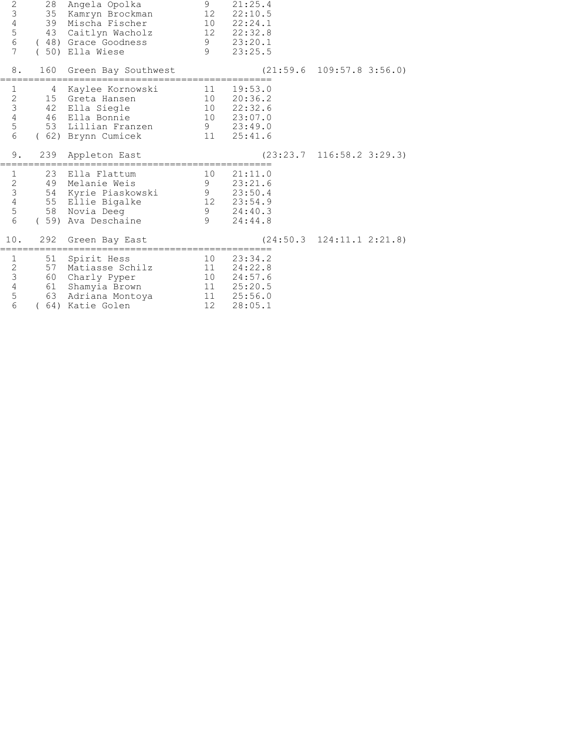| $\sqrt{2}$<br>$\mathfrak{Z}$<br>$\sqrt{4}$<br>$\begin{array}{c} 5 \\ 6 \end{array}$<br>$\overline{7}$ | 28<br>35             | Angela Opolka<br>Kamryn Brockman<br>39 Mischa Fischer<br>43 Caitlyn Wacholz<br>(48) Grace Goodness<br>(50) Ella Wiese | 9<br>12<br>$\overline{10}$<br>$\frac{9}{9}$ | 21:25.4<br>22:10.5<br>22:24.1<br>12 22:32.8<br>23:20.1<br>23:25.5      |                                         |
|-------------------------------------------------------------------------------------------------------|----------------------|-----------------------------------------------------------------------------------------------------------------------|---------------------------------------------|------------------------------------------------------------------------|-----------------------------------------|
| 8.                                                                                                    |                      | 160 Green Bay Southwest                                                                                               |                                             |                                                                        | $(21:59.6 \t109:57.8 \t3:56.0)$         |
| $\mathbf{1}$<br>$\frac{2}{3}$<br>$\frac{4}{5}$<br>$\epsilon$                                          | 4<br>46              | Kaylee Kornowski<br>15 Greta Hansen<br>42 Ella Siegle<br>Ella Bonnie<br>53 Lillian Franzen<br>(62) Brynn Cumicek      | 11<br>10<br>9<br>11                         | 19:53.0<br>20:36.2<br>10 22:32.6<br>10 23:07.0<br>23:49.0<br>25:41.6   |                                         |
| 9.                                                                                                    | 239                  | Appleton East                                                                                                         |                                             |                                                                        | $(23:23.7 \quad 116:58.2 \quad 3:29.3)$ |
| $\mathbf{1}$<br>$\begin{array}{c} 2 \\ 3 \\ 4 \end{array}$<br>5<br>$6\,$                              | 54                   | 23 Ella Flattum<br>49 Melanie Weis<br>Kyrie Piaskowski<br>55 Ellie Bigalke<br>58 Novia Deeg<br>(59) Ava Deschaine     | 10<br>9<br>9<br>12<br>9<br>$\overline{9}$   | 21:11.0<br>23:21.6<br>23:50.4<br>23:54.9<br>24:40.3<br>24:44.8         |                                         |
| 10.                                                                                                   | 292                  | Green Bay East                                                                                                        |                                             |                                                                        | $(24:50.3 \quad 124:11.1 \quad 2:21.8)$ |
| $\mathbf 1$<br>$\begin{array}{c} 2 \\ 3 \\ 4 \end{array}$<br>5<br>6                                   | 51<br>57<br>61<br>63 | Spirit Hess<br>Matiasse Schilz<br>60 Charly Pyper<br>Shamyia Brown<br>Adriana Montoya<br>(64) Katie Golen             | 10<br>11<br>10<br>12                        | 23:34.2<br>24:22.8<br>24:57.6<br>11  25:20.5<br>11  25:56.0<br>28:05.1 |                                         |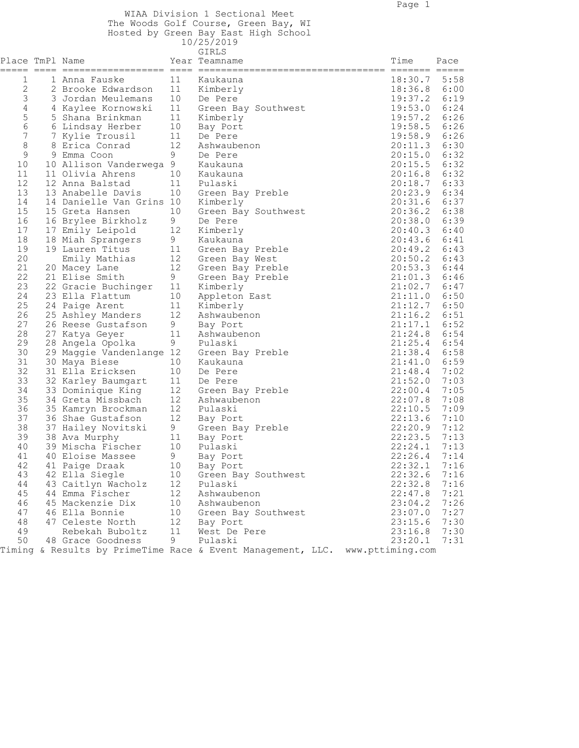WIAA Division 1 Sectional Meet The Woods Golf Course, Green Bay, WI

Hosted by Green Bay East High School

|                            |                          |             | 10/25/2019                                                  |                  |      |
|----------------------------|--------------------------|-------------|-------------------------------------------------------------|------------------|------|
| Place TmPl Name<br>$=====$ |                          |             | GIRLS<br>Year Teamname                                      | Time             | Pace |
| 1                          | 1 Anna Fauske            | 11          | Kaukauna                                                    | 18:30.7          | 5:58 |
| $\sqrt{2}$                 | 2 Brooke Edwardson       | 11          | Kimberly                                                    | 18:36.8          | 6:00 |
| 3                          | 3 Jordan Meulemans       | 10          | De Pere                                                     | 19:37.2          | 6:19 |
| $\overline{4}$             | 4 Kaylee Kornowski       | 11          | Green Bay Southwest                                         | 19:53.0          | 6:24 |
| 5                          | 5 Shana Brinkman         | 11          | Kimberly                                                    | 19:57.2          | 6:26 |
| $\sqrt{6}$                 | 6 Lindsay Herber         | 10          | Bay Port                                                    | 19:58.5          | 6:26 |
| 7                          | 7 Kylie Trousil          | 11          | De Pere                                                     | 19:58.9          | 6:26 |
| $\,8\,$                    | 8 Erica Conrad           | 12          | Ashwaubenon                                                 | 20:11.3          | 6:30 |
| $\mathsf 9$                | 9 Emma Coon              | 9           | De Pere                                                     | 20:15.0          | 6:32 |
| $10$                       | 10 Allison Vanderwega 9  |             | Kaukauna                                                    | 20:15.5          | 6:32 |
| 11                         | 11 Olivia Ahrens         | 10          | Kaukauna                                                    | 20:16.8          | 6:32 |
| 12                         | 12 Anna Balstad          |             |                                                             |                  | 6:33 |
|                            |                          | 11          | Pulaski                                                     | 20:18.7          |      |
| 13                         | 13 Anabelle Davis        | 10          | Green Bay Preble                                            | 20:23.9          | 6:34 |
| 14                         | 14 Danielle Van Grins 10 |             | Kimberly                                                    | 20:31.6          | 6:37 |
| 15                         | 15 Greta Hansen          | 10          | Green Bay Southwest                                         | 20:36.2          | 6:38 |
| 16                         | 16 Brylee Birkholz       | 9           | De Pere                                                     | 20:38.0          | 6:39 |
| 17                         | 17 Emily Leipold         | 12          | Kimberly                                                    | 20:40.3          | 6:40 |
| 18                         | 18 Miah Sprangers        | 9           | Kaukauna                                                    | 20:43.6          | 6:41 |
| 19                         | 19 Lauren Titus          | 11          | Green Bay Preble                                            | 20:49.2          | 6:43 |
| 20                         | Emily Mathias            | 12          | Green Bay West                                              | 20:50.2          | 6:43 |
| 21                         | 20 Macey Lane            | 12          | Green Bay Preble                                            | 20:53.3          | 6:44 |
| 22                         | 21 Elise Smith           | 9           | Green Bay Preble                                            | 21:01.3          | 6:46 |
| 23                         | 22 Gracie Buchinger      | 11          | Kimberly                                                    | 21:02.7          | 6:47 |
| 24                         | 23 Ella Flattum          | 10          | Appleton East                                               | 21:11.0          | 6:50 |
| 25                         | 24 Paige Arent           | 11          | Kimberly                                                    | 21:12.7          | 6:50 |
| 26                         | 25 Ashley Manders        | 12          | Ashwaubenon                                                 | 21:16.2          | 6:51 |
| 27                         | 26 Reese Gustafson       | $\mathsf 9$ | Bay Port                                                    | 21:17.1          | 6:52 |
| 28                         | 27 Katya Geyer           | 11          | Ashwaubenon                                                 | 21:24.8          | 6:54 |
| 29                         | 28 Angela Opolka         | 9           | Pulaski                                                     | 21:25.4          | 6:54 |
| 30                         | 29 Maggie Vandenlange 12 |             | Green Bay Preble                                            | 21:38.4          | 6:58 |
| 31                         | 30 Maya Biese            | 10          | Kaukauna                                                    | 21:41.0          | 6:59 |
| 32                         | 31 Ella Ericksen         | 10          | De Pere                                                     | 21:48.4          | 7:02 |
| 33                         | 32 Karley Baumgart       | 11          | De Pere                                                     | 21:52.0          | 7:03 |
| 34                         | 33 Dominique King        | 12          | Green Bay Preble                                            | 22:00.4          | 7:05 |
| 35                         | 34 Greta Missbach        | 12          | Ashwaubenon                                                 | 22:07.8          | 7:08 |
| 36                         | 35 Kamryn Brockman       | 12          | Pulaski                                                     | 22:10.5          | 7:09 |
| 37                         | 36 Shae Gustafson        | 12          | Bay Port                                                    | 22:13.6          | 7:10 |
| 38                         | 37 Hailey Novitski       | 9           | Green Bay Preble                                            | 22:20.9          | 7:12 |
| 39                         | 38 Ava Murphy            | 11          | Bay Port                                                    | 22:23.5          | 7:13 |
| 40                         | 39 Mischa Fischer        | 10          | Pulaski                                                     | 22:24.1          | 7:13 |
| 41                         | 40 Eloise Massee         | 9           | Bay Port                                                    | 22:26.4          | 7:14 |
| 42                         | 41 Paige Draak           | 10          | Bay Port                                                    | 22:32.1          | 7:16 |
| 43                         | 42 Ella Siegle           | 10          | Green Bay Southwest                                         | 22:32.6          | 7:16 |
| 44                         | 43 Caitlyn Wacholz       | 12          | Pulaski                                                     | 22:32.8          | 7:16 |
| 45                         | 44 Emma Fischer          | 12          | Ashwaubenon                                                 | 22:47.8          | 7:21 |
|                            | 45 Mackenzie Dix         |             |                                                             |                  | 7:26 |
| 46                         |                          | 10          | Ashwaubenon                                                 | 23:04.2          |      |
| 47                         | 46 Ella Bonnie           | 10          | Green Bay Southwest                                         | 23:07.0          | 7:27 |
| 48                         | 47 Celeste North         | 12          | Bay Port                                                    | 23:15.6          | 7:30 |
| 49                         | Rebekah Buboltz          | 11          | West De Pere                                                | 23:16.8          | 7:30 |
| 50                         | 48 Grace Goodness        | 9           | Pulaski                                                     | 23:20.1          | 7:31 |
|                            |                          |             | Timing & Results by PrimeTime Race & Event Management, LLC. | www.pttiming.com |      |